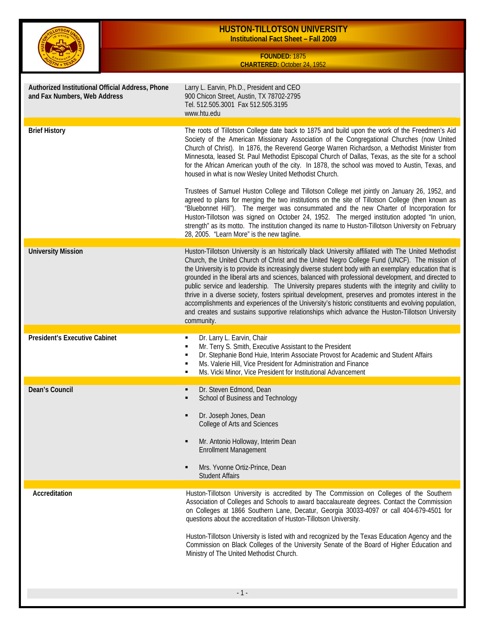|                                                                                  | <b>HUSTON-TILLOTSON UNIVERSITY</b><br><b>Institutional Fact Sheet - Fall 2009</b>                                                                                                                                                                                                                                                                                                                                                                                                                                                                                                                                                                                                                                                                                                                                                                       |
|----------------------------------------------------------------------------------|---------------------------------------------------------------------------------------------------------------------------------------------------------------------------------------------------------------------------------------------------------------------------------------------------------------------------------------------------------------------------------------------------------------------------------------------------------------------------------------------------------------------------------------------------------------------------------------------------------------------------------------------------------------------------------------------------------------------------------------------------------------------------------------------------------------------------------------------------------|
|                                                                                  | FOUNDED: 1875<br><b>CHARTERED: October 24, 1952</b>                                                                                                                                                                                                                                                                                                                                                                                                                                                                                                                                                                                                                                                                                                                                                                                                     |
| Authorized Institutional Official Address, Phone<br>and Fax Numbers, Web Address | Larry L. Earvin, Ph.D., President and CEO<br>900 Chicon Street, Austin, TX 78702-2795<br>Tel. 512.505.3001 Fax 512.505.3195<br>www.htu.edu                                                                                                                                                                                                                                                                                                                                                                                                                                                                                                                                                                                                                                                                                                              |
| <b>Brief History</b>                                                             | The roots of Tillotson College date back to 1875 and build upon the work of the Freedmen's Aid<br>Society of the American Missionary Association of the Congregational Churches (now United<br>Church of Christ). In 1876, the Reverend George Warren Richardson, a Methodist Minister from<br>Minnesota, leased St. Paul Methodist Episcopal Church of Dallas, Texas, as the site for a school<br>for the African American youth of the city. In 1878, the school was moved to Austin, Texas, and<br>housed in what is now Wesley United Methodist Church.                                                                                                                                                                                                                                                                                             |
|                                                                                  | Trustees of Samuel Huston College and Tillotson College met jointly on January 26, 1952, and<br>agreed to plans for merging the two institutions on the site of Tillotson College (then known as<br>"Bluebonnet Hill"). The merger was consummated and the new Charter of Incorporation for<br>Huston-Tillotson was signed on October 24, 1952. The merged institution adopted "In union,<br>strength" as its motto. The institution changed its name to Huston-Tillotson University on February<br>28, 2005. "Learn More" is the new tagline.                                                                                                                                                                                                                                                                                                          |
| <b>University Mission</b>                                                        | Huston-Tillotson University is an historically black University affiliated with The United Methodist<br>Church, the United Church of Christ and the United Negro College Fund (UNCF). The mission of<br>the University is to provide its increasingly diverse student body with an exemplary education that is<br>grounded in the liberal arts and sciences, balanced with professional development, and directed to<br>public service and leadership. The University prepares students with the integrity and civility to<br>thrive in a diverse society, fosters spiritual development, preserves and promotes interest in the<br>accomplishments and experiences of the University's historic constituents and evolving population,<br>and creates and sustains supportive relationships which advance the Huston-Tillotson University<br>community. |
| <b>President's Executive Cabinet</b>                                             | Dr. Larry L. Earvin, Chair<br>٠<br>Mr. Terry S. Smith, Executive Assistant to the President<br>Dr. Stephanie Bond Huie, Interim Associate Provost for Academic and Student Affairs<br>٠<br>Ms. Valerie Hill, Vice President for Administration and Finance<br>٠<br>Ms. Vicki Minor, Vice President for Institutional Advancement                                                                                                                                                                                                                                                                                                                                                                                                                                                                                                                        |
| Dean's Council                                                                   | Dr. Steven Edmond, Dean<br>School of Business and Technology<br>Dr. Joseph Jones, Dean<br>٠<br>College of Arts and Sciences<br>Mr. Antonio Holloway, Interim Dean<br><b>Enrollment Management</b><br>Mrs. Yvonne Ortiz-Prince, Dean<br><b>Student Affairs</b>                                                                                                                                                                                                                                                                                                                                                                                                                                                                                                                                                                                           |
| Accreditation                                                                    | Huston-Tillotson University is accredited by The Commission on Colleges of the Southern<br>Association of Colleges and Schools to award baccalaureate degrees. Contact the Commission<br>on Colleges at 1866 Southern Lane, Decatur, Georgia 30033-4097 or call 404-679-4501 for<br>questions about the accreditation of Huston-Tillotson University.<br>Huston-Tillotson University is listed with and recognized by the Texas Education Agency and the<br>Commission on Black Colleges of the University Senate of the Board of Higher Education and<br>Ministry of The United Methodist Church.                                                                                                                                                                                                                                                      |

- 1 -